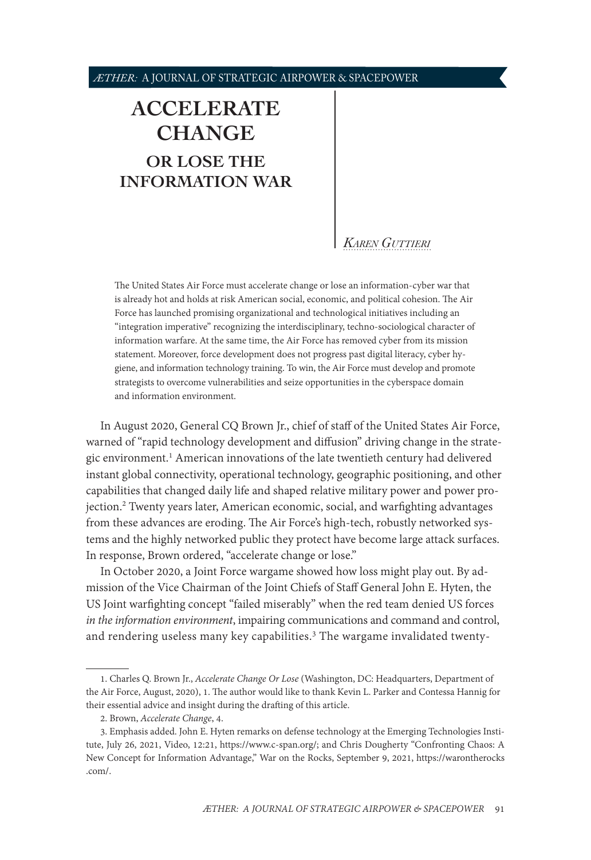# <span id="page-0-0"></span>**[ACCELERATE](#page-1-0)  [CHANGE](#page-1-0) [OR LOSE THE](#page-1-0)  [INFORMATION WAR](#page-1-0)**

### *[Karen Guttieri](#page-14-0)*

The United States Air Force must accelerate change or lose an information-cyber war that is already hot and holds at risk American social, economic, and political cohesion. The Air Force has launched promising organizational and technological initiatives including an "integration imperative" recognizing the interdisciplinary, techno-sociological character of information warfare. At the same time, the Air Force has removed cyber from its mission statement. Moreover, force development does not progress past digital literacy, cyber hygiene, and information technology training. To win, the Air Force must develop and promote strategists to overcome vulnerabilities and seize opportunities in the cyberspace domain and information environment.

In August 2020, General CQ Brown Jr., chief of staff of the United States Air Force, warned of "rapid technology development and diffusion" driving change in the strategic environment.<sup>1</sup> American innovations of the late twentieth century had delivered instant global connectivity, operational technology, geographic positioning, and other capabilities that changed daily life and shaped relative military power and power projection.2 Twenty years later, American economic, social, and warfighting advantages from these advances are eroding. The Air Force's high-tech, robustly networked systems and the highly networked public they protect have become large attack surfaces. In response, Brown ordered, "accelerate change or lose."

In October 2020, a Joint Force wargame showed how loss might play out. By admission of the Vice Chairman of the Joint Chiefs of Staff General John E. Hyten, the US Joint warfighting concept "failed miserably" when the red team denied US forces *in the information environment*, impairing communications and command and control, and rendering useless many key capabilities.<sup>3</sup> The wargame invalidated twenty-

<sup>1.</sup> Charles Q. Brown Jr., *Accelerate Change Or Lose* (Washington, DC: Headquarters, Department of the Air Force, August, 2020), 1. The author would like to thank Kevin L. Parker and Contessa Hannig for their essential advice and insight during the drafting of this article.

<sup>2.</sup> Brown, *Accelerate Change*, 4.

<sup>3.</sup> Emphasis added. John E. Hyten remarks on defense technology at the Emerging Technologies Institute, July 26, 2021, Video, 12:21, [https://www.c-span.org/](https://www.c-span.org/video/?513684-1/joint-chiefs-staff-vice-chair-discusses-defense-technology); and Chris Dougherty "Confronting Chaos: A New Concept for Information Advantage," War on the Rocks, September 9, 2021, [https://warontherocks](https://www.c-span.org/video/?513684-1/joint-chiefs-staff-vice-chair-discusses-defense-technology) [.com/](https://www.c-span.org/video/?513684-1/joint-chiefs-staff-vice-chair-discusses-defense-technology).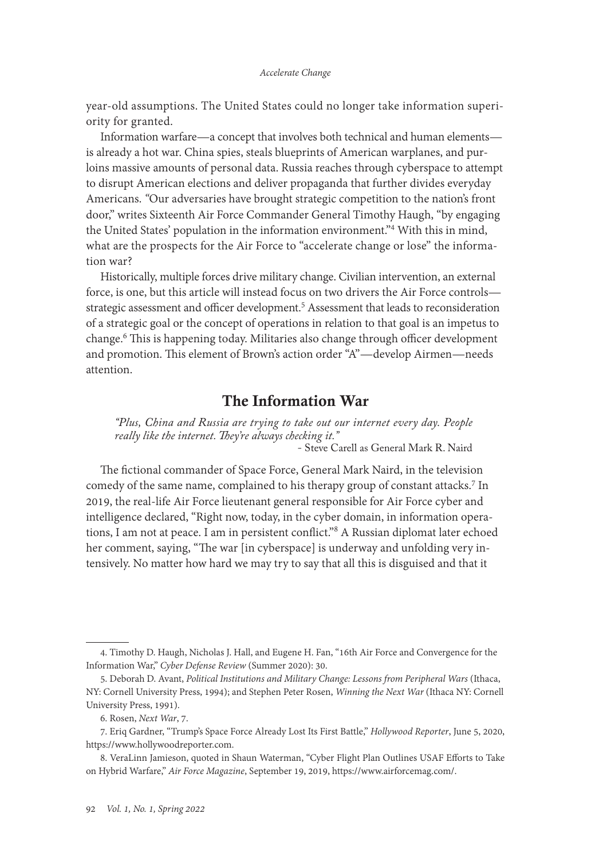<span id="page-1-0"></span>year-old assumptions. The United States could no longer take information superiority for granted.

Information warfare—a concept that involves both technical and human elements is already a hot war. China spies, steals blueprints of American warplanes, and purloins massive amounts of personal data. Russia reaches through cyberspace to attempt to disrupt American elections and deliver propaganda that further divides everyday Americans. *"*Our adversaries have brought strategic competition to the nation's front door," writes Sixteenth Air Force Commander General Timothy Haugh, "by engaging the United States' population in the information environment."4 With this in mind, what are the prospects for the Air Force to "accelerate change or lose" the information war?

Historically, multiple forces drive military change. Civilian intervention, an external force, is one, but this article will instead focus on two drivers the Air Force controls strategic assessment and officer development.5 Assessment that leads to reconsideration of a strategic goal or the concept of operations in relation to that goal is an impetus to change.<sup>6</sup> This is happening today. Militaries also change through officer development and promotion. This element of Brown's action order "A"—develop Airmen—needs attention.

### The Information War

*"Plus, China and Russia are trying to take out our internet every day. People really like the internet. They're always checking it."* - Steve Carell as General Mark R. Naird

The fictional commander of Space Force, General Mark Naird, in the television comedy of the same name, complained to his therapy group of constant attacks.<sup>7</sup> In 2019, the real-life Air Force lieutenant general responsible for Air Force cyber and intelligence declared, "Right now, today, in the cyber domain, in information operations, I am not at peace. I am in persistent conflict."8 A Russian diplomat later echoed her comment, saying, "The war [in cyberspace] is underway and unfolding very intensively. No matter how hard we may try to say that all this is disguised and that it

<sup>4.</sup> Timothy D. Haugh, Nicholas J. Hall, and Eugene H. Fan, "16th Air Force and Convergence for the Information War," *Cyber Defense Review* (Summer 2020): 30.

<sup>5.</sup> Deborah D. Avant, *Political Institutions and Military Change: Lessons from Peripheral Wars* (Ithaca, NY: Cornell University Press, 1994); and Stephen Peter Rosen, *Winning the Next War* (Ithaca NY: Cornell University Press, 1991).

<sup>6.</sup> Rosen, *Next War*, 7.

<sup>7.</sup> Eriq Gardner, "Trump's Space Force Already Lost Its First Battle," *Hollywood Reporter*, June 5, 2020, [https://www.hollywoodreporter.com](https://www.hollywoodreporter.com/business/business-news/trumps-space-force-lost-first-battle-1296939/).

<sup>8.</sup> VeraLinn Jamieson, quoted in Shaun Waterman, "Cyber Flight Plan Outlines USAF Efforts to Take on Hybrid Warfare," *Air Force Magazine*, September 19, 2019, [https://www.airforcemag.com/.](https://www.airforcemag.com/Cyber-Flight-Plan-Outlines-USAF-Efforts-to-Take-on-Hybrid-Warfare/)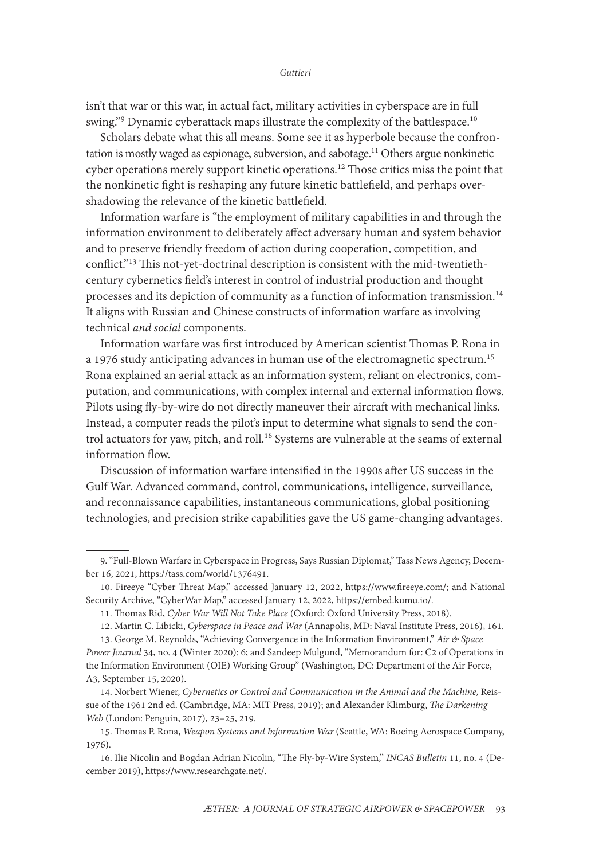isn't that war or this war, in actual fact, military activities in cyberspace are in full swing."9 Dynamic cyberattack maps illustrate the complexity of the battlespace.10

Scholars debate what this all means. Some see it as hyperbole because the confrontation is mostly waged as espionage, subversion, and sabotage.<sup>11</sup> Others argue nonkinetic cyber operations merely support kinetic operations.<sup>12</sup> Those critics miss the point that the nonkinetic fight is reshaping any future kinetic battlefield, and perhaps overshadowing the relevance of the kinetic battlefield.

Information warfare is "the employment of military capabilities in and through the information environment to deliberately affect adversary human and system behavior and to preserve friendly freedom of action during cooperation, competition, and conflict."13 This not-yet-doctrinal description is consistent with the mid-twentiethcentury cybernetics field's interest in control of industrial production and thought processes and its depiction of community as a function of information transmission.<sup>14</sup> It aligns with Russian and Chinese constructs of information warfare as involving technical *and social* components.

Information warfare was first introduced by American scientist Thomas P. Rona in a 1976 study anticipating advances in human use of the electromagnetic spectrum.<sup>15</sup> Rona explained an aerial attack as an information system, reliant on electronics, computation, and communications, with complex internal and external information flows. Pilots using fly-by-wire do not directly maneuver their aircraft with mechanical links. Instead, a computer reads the pilot's input to determine what signals to send the control actuators for yaw, pitch, and roll.<sup>16</sup> Systems are vulnerable at the seams of external information flow.

Discussion of information warfare intensified in the 1990s after US success in the Gulf War. Advanced command, control, communications, intelligence, surveillance, and reconnaissance capabilities, instantaneous communications, global positioning technologies, and precision strike capabilities gave the US game-changing advantages.

<sup>9. &</sup>quot;Full-Blown Warfare in Cyberspace in Progress, Says Russian Diplomat," Tass News Agency, December 16, 2021, <https://tass.com/world/1376491>.

<sup>10.</sup> Fireeye "Cyber Threat Map," accessed January 12, 2022, [https://www.fireeye.com/](https://www.fireeye.com/cyber-map/threat-map.html); and National Security Archive, "CyberWar Map," accessed January 12, 2022, https://embed.kumu.io/.

<sup>11.</sup> Thomas Rid, *Cyber War Will Not Take Place* (Oxford: Oxford University Press, 2018).

<sup>12.</sup> Martin C. Libicki, *Cyberspace in Peace and War* (Annapolis, MD: Naval Institute Press, 2016), 161.

<sup>13.</sup> George M. Reynolds, "Achieving Convergence in the Information Environment," *Air & Space Power Journal* 34, no. 4 (Winter 2020): 6; and Sandeep Mulgund, "Memorandum for: C2 of Operations in the Information Environment (OIE) Working Group" (Washington, DC: Department of the Air Force, A3, September 15, 2020).

<sup>14.</sup> Norbert Wiener, *Cybernetics or Control and Communication in the Animal and the Machine,* Reissue of the 1961 2nd ed. (Cambridge, MA: MIT Press, 2019); and Alexander Klimburg, *The Darkening Web* (London: Penguin, 2017), 23–25, 219.

<sup>15.</sup> Thomas P. Rona, *Weapon Systems and Information War* (Seattle, WA: Boeing Aerospace Company, 1976).

<sup>16.</sup> Ilie Nicolin and Bogdan Adrian Nicolin, "The Fly-by-Wire System," *INCAS Bulletin* 11, no. 4 (December 2019), [https://www.researchgate.net/.](https://www.researchgate.net/publication/337828769_The_fly-by-wire_system)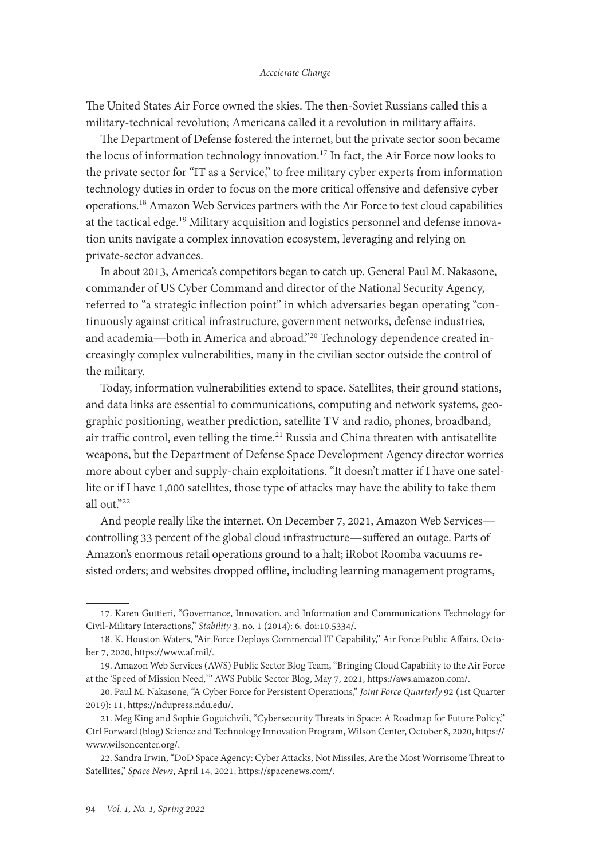#### *Accelerate Change*

The United States Air Force owned the skies. The then-Soviet Russians called this a military-technical revolution; Americans called it a revolution in military affairs.

The Department of Defense fostered the internet, but the private sector soon became the locus of information technology innovation.<sup>17</sup> In fact, the Air Force now looks to the private sector for "IT as a Service," to free military cyber experts from information technology duties in order to focus on the more critical offensive and defensive cyber operations.18 Amazon Web Services partners with the Air Force to test cloud capabilities at the tactical edge.<sup>19</sup> Military acquisition and logistics personnel and defense innovation units navigate a complex innovation ecosystem, leveraging and relying on private-sector advances.

In about 2013, America's competitors began to catch up. General Paul M. Nakasone, commander of US Cyber Command and director of the National Security Agency, referred to "a strategic inflection point" in which adversaries began operating "continuously against critical infrastructure, government networks, defense industries, and academia—both in America and abroad."20 Technology dependence created increasingly complex vulnerabilities, many in the civilian sector outside the control of the military.

Today, information vulnerabilities extend to space. Satellites, their ground stations, and data links are essential to communications, computing and network systems, geographic positioning, weather prediction, satellite TV and radio, phones, broadband, air traffic control, even telling the time.<sup>21</sup> Russia and China threaten with antisatellite weapons, but the Department of Defense Space Development Agency director worries more about cyber and supply-chain exploitations. "It doesn't matter if I have one satellite or if I have 1,000 satellites, those type of attacks may have the ability to take them all out."22

And people really like the internet. On December 7, 2021, Amazon Web Services controlling 33 percent of the global cloud infrastructure—suffered an outage. Parts of Amazon's enormous retail operations ground to a halt; iRobot Roomba vacuums resisted orders; and websites dropped offline, including learning management programs,

<sup>17.</sup> Karen Guttieri, "Governance, Innovation, and Information and Communications Technology for Civil-Military Interactions," *Stability* 3, no. 1 (2014): 6. [doi:10.5334/.](doi:10.5334/sta.dc)

<sup>18.</sup> K. Houston Waters, "Air Force Deploys Commercial IT Capability," Air Force Public Affairs, October 7, 2020, [https://www.af.mil/.](https://www.af.mil/News/Article-Display/Article/2374703/air-force-deploys-commercial-it-capability/)

<sup>19.</sup> Amazon Web Services (AWS) Public Sector Blog Team, "Bringing Cloud Capability to the Air Force at the 'Speed of Mission Need, '" AWS Public Sector Blog, May 7, 2021, [https://aws.amazon.com/](https://aws.amazon.com/blogs/publicsector/bringing-cloud-air-force-speed-of-mission-need/).

<sup>20.</sup> Paul M. Nakasone, "A Cyber Force for Persistent Operations," *Joint Force Quarterly* 92 (1st Quarter 2019): 11, [https://ndupress.ndu.edu/.](https://ndupress.ndu.edu/Media/News/News-Article-View/Article/1736950/a-cyber-force-for-persistent-operations/)

<sup>21.</sup> Meg King and Sophie Goguichvili, "Cybersecurity Threats in Space: A Roadmap for Future Policy," Ctrl Forward (blog) Science and Technology Innovation Program, Wilson Center, October 8, 2020, [https://](https://www.wilsoncenter.org/blog-post/cybersecurity-threats-space-roadmap-future-policy) [www.wilsoncenter.org/.](https://www.wilsoncenter.org/blog-post/cybersecurity-threats-space-roadmap-future-policy)

<sup>22.</sup> Sandra Irwin, "DoD Space Agency: Cyber Attacks, Not Missiles, Are the Most Worrisome Threat to Satellites," *Space News*, April 14, 2021, [https://spacenews.com/.](https://spacenews.com/dod-space-agency-cyber-attacks-not-missiles-are-the-most-worrisome-threat-to-satellites/)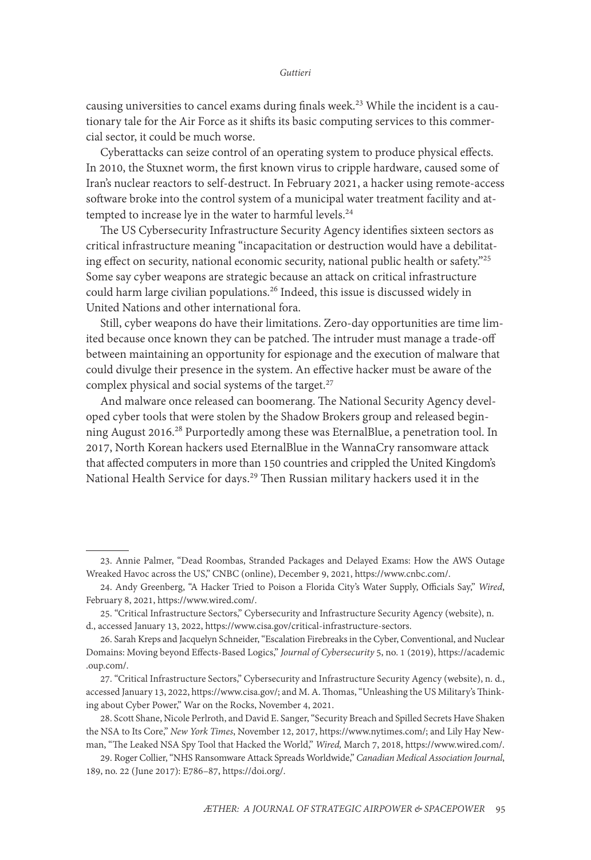causing universities to cancel exams during finals week.<sup>23</sup> While the incident is a cautionary tale for the Air Force as it shifts its basic computing services to this commercial sector, it could be much worse.

Cyberattacks can seize control of an operating system to produce physical effects. In 2010, the Stuxnet worm, the first known virus to cripple hardware, caused some of Iran's nuclear reactors to self-destruct. In February 2021, a hacker using remote-access software broke into the control system of a municipal water treatment facility and attempted to increase lye in the water to harmful levels.<sup>24</sup>

The US Cybersecurity Infrastructure Security Agency identifies sixteen sectors as critical infrastructure meaning "incapacitation or destruction would have a debilitating effect on security, national economic security, national public health or safety."25 Some say cyber weapons are strategic because an attack on critical infrastructure could harm large civilian populations.26 Indeed, this issue is discussed widely in United Nations and other international fora.

Still, cyber weapons do have their limitations. Zero-day opportunities are time limited because once known they can be patched. The intruder must manage a trade-off between maintaining an opportunity for espionage and the execution of malware that could divulge their presence in the system. An effective hacker must be aware of the complex physical and social systems of the target.<sup>27</sup>

And malware once released can boomerang. The National Security Agency developed cyber tools that were stolen by the Shadow Brokers group and released beginning August 2016.<sup>28</sup> Purportedly among these was EternalBlue, a penetration tool. In 2017, North Korean hackers used EternalBlue in the WannaCry ransomware attack that affected computers in more than 150 countries and crippled the United Kingdom's National Health Service for days.<sup>29</sup> Then Russian military hackers used it in the

<sup>23.</sup> Annie Palmer, "Dead Roombas, Stranded Packages and Delayed Exams: How the AWS Outage Wreaked Havoc across the US," CNBC (online), December 9, 2021, [https://www.cnbc.com/.](https://www.cnbc.com/2021/12/09/how-the-aws-outage-wreaked-havoc-across-the-us.html)

<sup>24.</sup> Andy Greenberg, "A Hacker Tried to Poison a Florida City's Water Supply, Officials Say," *Wired*, February 8, 2021, [https://www.wired.com/](https://www.wired.com/story/oldsmar-florida-water-utility-hack/).

<sup>25. &</sup>quot;Critical Infrastructure Sectors," Cybersecurity and Infrastructure Security Agency (website), n. d., accessed January 13, 2022, https://www.cisa.gov/critical-infrastructure-sectors.

<sup>26.</sup> Sarah Kreps and Jacquelyn Schneider, "Escalation Firebreaks in the Cyber, Conventional, and Nuclear Domains: Moving beyond Effects-Based Logics," *Journal of Cybersecurity* 5, no. 1 (2019), [https://academic](https://academic.oup.com/cybersecurity/article/5/1/tyz007/5575971) [.oup.com/.](https://academic.oup.com/cybersecurity/article/5/1/tyz007/5575971)

<sup>27. &</sup>quot;Critical Infrastructure Sectors," Cybersecurity and Infrastructure Security Agency (website), n. d., accessed January 13, 2022, [https://www.cisa.gov/;](https://www.cisa.gov/critical-infrastructure-sectors) and M. A. Thomas, "Unleashing the US Military's Thinking about Cyber Power," War on the Rocks, November 4, 2021.

<sup>28.</sup> Scott Shane, Nicole Perlroth, and David E. Sanger, "Security Breach and Spilled Secrets Have Shaken the NSA to Its Core," *New York Times*, November 12, 2017, [https://www.nytimes.com/;](https://www.nytimes.com/2017/11/12/us/nsa-shadow-brokers.html) and Lily Hay Newman, "The Leaked NSA Spy Tool that Hacked the World," *Wired,* March 7, 2018, [https://www.wired.com/](https://www.wired.com/story/eternalblue-leaked-nsa-spy-tool-hacked-world/%20accessed%20January%2016,%202022).

<sup>29.</sup> Roger Collier, "NHS Ransomware Attack Spreads Worldwide," *Canadian Medical Association Journal*, 189, no. 22 (June 2017): E786–87,<https://doi.org/>.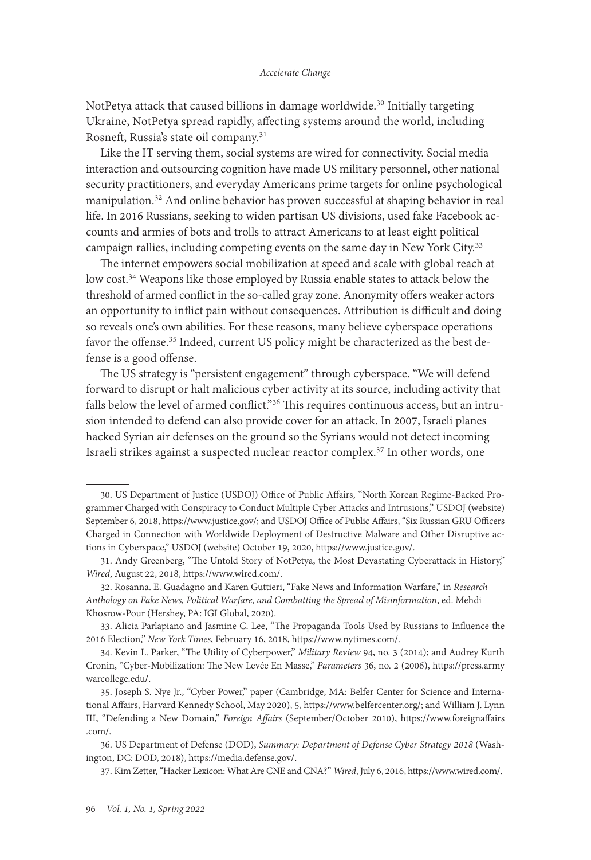NotPetya attack that caused billions in damage worldwide.<sup>30</sup> Initially targeting Ukraine, NotPetya spread rapidly, affecting systems around the world, including Rosneft, Russia's state oil company.<sup>31</sup>

Like the IT serving them, social systems are wired for connectivity. Social media interaction and outsourcing cognition have made US military personnel, other national security practitioners, and everyday Americans prime targets for online psychological manipulation.32 And online behavior has proven successful at shaping behavior in real life. In 2016 Russians, seeking to widen partisan US divisions, used fake Facebook accounts and armies of bots and trolls to attract Americans to at least eight political campaign rallies, including competing events on the same day in New York City.<sup>33</sup>

The internet empowers social mobilization at speed and scale with global reach at low cost.<sup>34</sup> Weapons like those employed by Russia enable states to attack below the threshold of armed conflict in the so-called gray zone. Anonymity offers weaker actors an opportunity to inflict pain without consequences. Attribution is difficult and doing so reveals one's own abilities. For these reasons, many believe cyberspace operations favor the offense.<sup>35</sup> Indeed, current US policy might be characterized as the best defense is a good offense.

The US strategy is "persistent engagement" through cyberspace. "We will defend forward to disrupt or halt malicious cyber activity at its source, including activity that falls below the level of armed conflict."<sup>36</sup> This requires continuous access, but an intrusion intended to defend can also provide cover for an attack. In 2007, Israeli planes hacked Syrian air defenses on the ground so the Syrians would not detect incoming Israeli strikes against a suspected nuclear reactor complex.37 In other words, one

<sup>30.</sup> US Department of Justice (USDOJ) Office of Public Affairs, "North Korean Regime-Backed Programmer Charged with Conspiracy to Conduct Multiple Cyber Attacks and Intrusions," USDOJ (website) September 6, 2018, [https://www.justice.gov/](https://www.justice.gov/opa/pr/north-korean-regime-backed-programmer-charged-conspiracy-conduct-multiple-cyber-attacks-and); and USDOJ Office of Public Affairs, "Six Russian GRU Officers Charged in Connection with Worldwide Deployment of Destructive Malware and Other Disruptive actions in Cyberspace," USDOJ (website) October 19, 2020, [https://www.justice.gov/.](https://www.justice.gov/opa/pr/six-russian-gru-officers-charged-connection-worldwide-deployment-destructive-malware-and)

<sup>31.</sup> Andy Greenberg, "The Untold Story of NotPetya, the Most Devastating Cyberattack in History," *Wired*, August 22, 2018, [https://www.wired.com/.](https://www.wired.com/story/notpetya-cyberattack-ukraine-russia-code-crashed-the-world/)

<sup>32.</sup> Rosanna. E. Guadagno and Karen Guttieri, "Fake News and Information Warfare," in *Research Anthology on Fake News, Political Warfare, and Combatting the Spread of Misinformation*, ed. Mehdi Khosrow-Pour (Hershey, PA: IGI Global, 2020).

<sup>33.</sup> Alicia Parlapiano and Jasmine C. Lee, "The Propaganda Tools Used by Russians to Influence the 2016 Election," *New York Times*, February 16, 2018, [https://www.nytimes.com/.](https://www.nytimes.com/interactive/2018/02/16/us/politics/russia-propaganda-election-2016.html)

<sup>34.</sup> Kevin L. Parker, "The Utility of Cyberpower," *Military Review* 94, no. 3 (2014); and Audrey Kurth Cronin, "Cyber-Mobilization: The New Levée En Masse," *Parameters* 36, no. 2 (2006), [https://press.army](https://press.armywarcollege.edu/parameters/vol36/iss2/7/) [warcollege.edu/](https://press.armywarcollege.edu/parameters/vol36/iss2/7/).

<sup>35.</sup> Joseph S. Nye Jr., "Cyber Power," paper (Cambridge, MA: Belfer Center for Science and International Affairs, Harvard Kennedy School, May 2020), 5, [https://www.belfercenter.org/;](https://www.belfercenter.org/publication/cyber-power) and William J. Lynn III, "Defending a New Domain," *Foreign Affairs* (September/October 2010), [https://www.foreignaffairs](https://www.foreignaffairs.com/articles/united-states/2010-09-01/defending-new-domain) [.com/](https://www.foreignaffairs.com/articles/united-states/2010-09-01/defending-new-domain).

<sup>36.</sup> US Department of Defense (DOD), *Summary: Department of Defense Cyber Strategy 2018* (Washington, DC: DOD, 2018), [https://media.defense.gov/.](https://media.defense.gov/2018/Sep/18/2002041658/-1/-1/1/CYBER_STRATEGY_SUMMARY_FINAL.PDF)

<sup>37.</sup> Kim Zetter, "Hacker Lexicon: What Are CNE and CNA?" *Wired*, July 6, 2016, [https://www.wired.com/](https://www.wired.com/2016/07/hacker-lexicon-cne-cna/).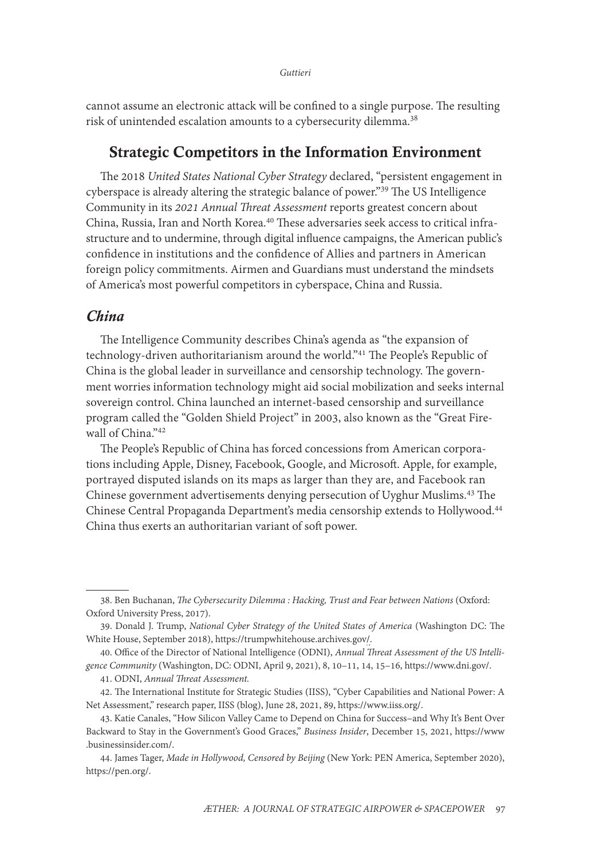cannot assume an electronic attack will be confined to a single purpose. The resulting risk of unintended escalation amounts to a cybersecurity dilemma.<sup>38</sup>

### Strategic Competitors in the Information Environment

The 2018 *United States National Cyber Strategy* declared, "persistent engagement in cyberspace is already altering the strategic balance of power."39 The US Intelligence Community in its *2021 Annual Threat Assessment* reports greatest concern about China, Russia, Iran and North Korea.40 These adversaries seek access to critical infrastructure and to undermine, through digital influence campaigns, the American public's confidence in institutions and the confidence of Allies and partners in American foreign policy commitments. Airmen and Guardians must understand the mindsets of America's most powerful competitors in cyberspace, China and Russia.

### *China*

The Intelligence Community describes China's agenda as "the expansion of technology-driven authoritarianism around the world."41 The People's Republic of China is the global leader in surveillance and censorship technology. The government worries information technology might aid social mobilization and seeks internal sovereign control. China launched an internet-based censorship and surveillance program called the "Golden Shield Project" in 2003, also known as the "Great Firewall of China."<sup>42</sup>

The People's Republic of China has forced concessions from American corporations including Apple, Disney, Facebook, Google, and Microsoft. Apple, for example, portrayed disputed islands on its maps as larger than they are, and Facebook ran Chinese government advertisements denying persecution of Uyghur Muslims.43 The Chinese Central Propaganda Department's media censorship extends to Hollywood.<sup>44</sup> China thus exerts an authoritarian variant of soft power.

<sup>38.</sup> Ben Buchanan, *The Cybersecurity Dilemma : Hacking, Trust and Fear between Nations* (Oxford: Oxford University Press, 2017).

<sup>39.</sup> Donald J. Trump, *National Cyber Strategy of the United States of America* (Washington DC: The White House, September 2018), [https://trumpwhitehouse.archives.gov/](https://trumpwhitehouse.archives.gov/wp-content/uploads/2018/09/National-Cyber-Strategy.pdf).

<sup>40.</sup> Office of the Director of National Intelligence (ODNI), *Annual Threat Assessment of the US Intelligence Community* (Washington, DC: ODNI, April 9, 2021), 8, 10–11, 14, 15–16, [https://www.dni.gov/](https://www.dni.gov/files/ODNI/documents/assessments/ATA-2021-Unclassified-Report.pdf).

<sup>41.</sup> ODNI, *Annual Threat Assessment.*

<sup>42.</sup> The International Institute for Strategic Studies (IISS), "Cyber Capabilities and National Power: A Net Assessment," research paper, IISS (blog), June 28, 2021, 89, [https://www.iiss.org/.](https://www.iiss.org/blogs/research-paper/2021/06/cyber-capabilities-national-power)

<sup>43.</sup> Katie Canales, "How Silicon Valley Came to Depend on China for Success–and Why It's Bent Over Backward to Stay in the Government's Good Graces," *Business Insider*, December 15, 2021, [https://www](https://www.businessinsider.com/silicon-valley-china-tech-apple-linkedin-google-2021-12) [.businessinsider.com/](https://www.businessinsider.com/silicon-valley-china-tech-apple-linkedin-google-2021-12).

<sup>44.</sup> James Tager, *Made in Hollywood, Censored by Beijing* (New York: PEN America, September 2020), [https://pen.org/.](https://pen.org/wp-content/uploads/2020/09/Made_in_Hollywood_Censored_by_Beiing_Report_FINAL.pdf)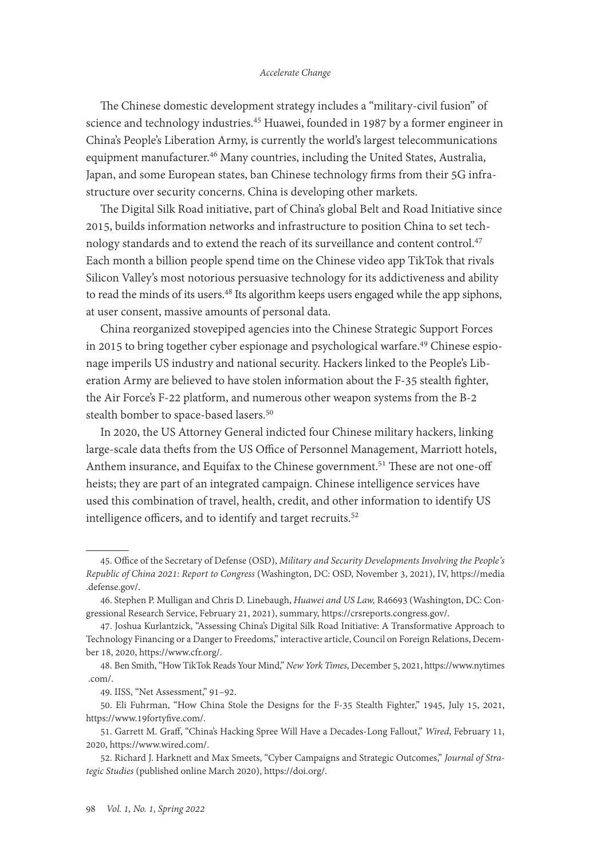The Chinese domestic development strategy includes a "military-civil fusion" of science and technology industries.45 Huawei, founded in 1987 by a former engineer in China's People's Liberation Army, is currently the world's largest telecommunications equipment manufacturer.<sup>46</sup> Many countries, including the United States, Australia, Japan, and some European states, ban Chinese technology firms from their 5G infrastructure over security concerns. China is developing other markets.

The Digital Silk Road initiative, part of China's global Belt and Road Initiative since 2015, builds information networks and infrastructure to position China to set technology standards and to extend the reach of its surveillance and content control.<sup>47</sup> Each month a billion people spend time on the Chinese video app TikTok that rivals Silicon Valley's most notorious persuasive technology for its addictiveness and ability to read the minds of its users.<sup>48</sup> Its algorithm keeps users engaged while the app siphons, at user consent, massive amounts of personal data.

China reorganized stovepiped agencies into the Chinese Strategic Support Forces in 2015 to bring together cyber espionage and psychological warfare.<sup>49</sup> Chinese espionage imperils US industry and national security. Hackers linked to the People's Liberation Army are believed to have stolen information about the F-35 stealth fighter, the Air Force's F-22 platform, and numerous other weapon systems from the B-2 stealth bomber to space-based lasers.<sup>50</sup>

In 2020, the US Attorney General indicted four Chinese military hackers, linking large-scale data thefts from the US Office of Personnel Management, Marriott hotels, Anthem insurance, and Equifax to the Chinese government.<sup>51</sup> These are not one-off heists; they are part of an integrated campaign. Chinese intelligence services have used this combination of travel, health, credit, and other information to identify US intelligence officers, and to identify and target recruits.<sup>52</sup>

<sup>45.</sup> Office of the Secretary of Defense (OSD), *Military and Security Developments Involving the People's Republic of China 2021: Report to Congress* (Washington, DC: OSD, November 3, 2021), IV, [https://media](https://media.defense.gov/2021/Nov/03/2002885874/-1/-1/0/2021-CMPR-FINAL.PDF) [.defense.gov/.](https://media.defense.gov/2021/Nov/03/2002885874/-1/-1/0/2021-CMPR-FINAL.PDF)

<sup>46.</sup> Stephen P. Mulligan and Chris D. Linebaugh, *Huawei and US Law,* R46693 (Washington, DC: Congressional Research Service, February 21, 2021), summary, [https://crsreports.congress.gov/.](https://crsreports.congress.gov/product/pdf/R/R46693)

<sup>47.</sup> Joshua Kurlantzick, "Assessing China's Digital Silk Road Initiative: A Transformative Approach to Technology Financing or a Danger to Freedoms," interactive article, Council on Foreign Relations, December 18, 2020, [https://www.cfr.org/](https://www.cfr.org/china-digital-silk-road).

<sup>48.</sup> Ben Smith, "How TikTok Reads Your Mind," *New York Times*, December 5, 2021, [https://www.nytimes](https://www.nytimes.com/2021/12/05/business/media/tiktok-algorithm.html?searchResultPosition=10)  [.com/](https://www.nytimes.com/2021/12/05/business/media/tiktok-algorithm.html?searchResultPosition=10).

<sup>49.</sup> IISS, "Net Assessment," 91–92.

<sup>50.</sup> Eli Fuhrman, "How China Stole the Designs for the F-35 Stealth Fighter," 1945, July 15, 2021, [https://www.19fortyfive.com/](https://www.19fortyfive.com/2021/07/how-china-stole-the-designs-for-the-f-35-stealth-fighter/).

<sup>51.</sup> Garrett M. Graff, "China's Hacking Spree Will Have a Decades-Long Fallout," *Wired*, February 11, 2020, [https://www.wired.com/](https://www.wired.com/story/china-equifax-anthem-marriott-opm-hacks-data/).

<sup>52.</sup> Richard J. Harknett and Max Smeets, "Cyber Campaigns and Strategic Outcomes," *Journal of Strategic Studies* (published online March 2020), [https://doi.org/](https://doi.org/10.1080/01402390.2020.1732354).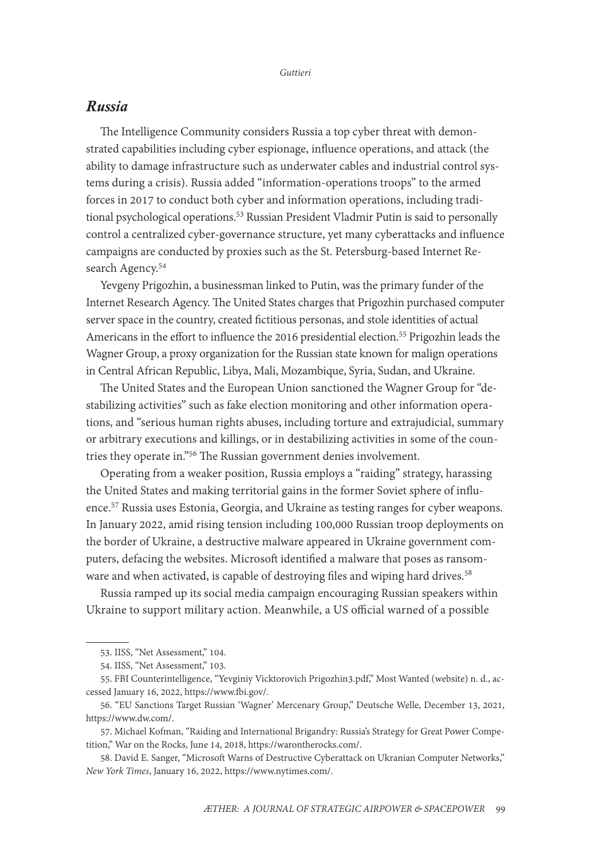### *Russia*

The Intelligence Community considers Russia a top cyber threat with demonstrated capabilities including cyber espionage, influence operations, and attack (the ability to damage infrastructure such as underwater cables and industrial control systems during a crisis). Russia added "information-operations troops" to the armed forces in 2017 to conduct both cyber and information operations, including traditional psychological operations.<sup>53</sup> Russian President Vladmir Putin is said to personally control a centralized cyber-governance structure, yet many cyberattacks and influence campaigns are conducted by proxies such as the St. Petersburg-based Internet Research Agency.<sup>54</sup>

Yevgeny Prigozhin, a businessman linked to Putin, was the primary funder of the Internet Research Agency. The United States charges that Prigozhin purchased computer server space in the country, created fictitious personas, and stole identities of actual Americans in the effort to influence the 2016 presidential election.<sup>55</sup> Prigozhin leads the Wagner Group, a proxy organization for the Russian state known for malign operations in Central African Republic, Libya, Mali, Mozambique, Syria, Sudan, and Ukraine.

The United States and the European Union sanctioned the Wagner Group for "destabilizing activities" such as fake election monitoring and other information operations, and "serious human rights abuses, including torture and extrajudicial, summary or arbitrary executions and killings, or in destabilizing activities in some of the countries they operate in."56 The Russian government denies involvement.

Operating from a weaker position, Russia employs a "raiding" strategy, harassing the United States and making territorial gains in the former Soviet sphere of influence.57 Russia uses Estonia, Georgia, and Ukraine as testing ranges for cyber weapons. In January 2022, amid rising tension including 100,000 Russian troop deployments on the border of Ukraine, a destructive malware appeared in Ukraine government computers, defacing the websites. Microsoft identified a malware that poses as ransomware and when activated, is capable of destroying files and wiping hard drives.<sup>58</sup>

Russia ramped up its social media campaign encouraging Russian speakers within Ukraine to support military action. Meanwhile, a US official warned of a possible

<sup>53.</sup> IISS, "Net Assessment," 104.

<sup>54.</sup> IISS, "Net Assessment," 103.

<sup>55.</sup> FBI Counterintelligence, "Yevginiy Vicktorovich Prigozhin3.pdf," Most Wanted (website) n. d., accessed January 16, 2022, [https://www.fbi.gov/](https://www.fbi.gov/wanted/counterintelligence/yevgeniy-viktorovich-prigozhin/yevgeniy-vicktorovich-prigozhin3.pdf/view).

<sup>56. &</sup>quot;EU Sanctions Target Russian 'Wagner' Mercenary Group," Deutsche Welle, December 13, 2021, [https://www.dw.com/.](https://www.dw.com/en/eu-sanctions-target-russian-wagner-mercenary-group/a-60109326)

<sup>57.</sup> Michael Kofman, "Raiding and International Brigandry: Russia's Strategy for Great Power Competition," War on the Rocks, June 14, 2018, [https://warontherocks.com/](https://warontherocks.com/2018/06/raiding-and-international-brigandry-russias-strategy-for-great-power-competition/).

<sup>58.</sup> David E. Sanger, "Microsoft Warns of Destructive Cyberattack on Ukranian Computer Networks," *New York Times*, January 16, 2022, [https://www.nytimes.com/](https://www.nytimes.com/2022/01/16/us/politics/microsoft-ukraine-cyberattack.html).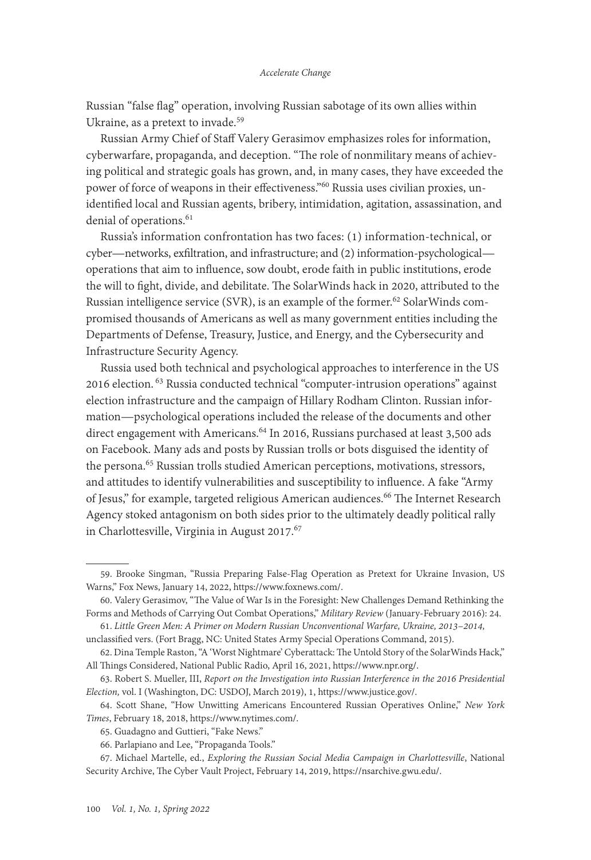Russian "false flag" operation, involving Russian sabotage of its own allies within Ukraine, as a pretext to invade.<sup>59</sup>

Russian Army Chief of Staff Valery Gerasimov emphasizes roles for information, cyberwarfare, propaganda, and deception. "The role of nonmilitary means of achieving political and strategic goals has grown, and, in many cases, they have exceeded the power of force of weapons in their effectiveness."<sup>60</sup> Russia uses civilian proxies, unidentified local and Russian agents, bribery, intimidation, agitation, assassination, and denial of operations.<sup>61</sup>

Russia's information confrontation has two faces: (1) information-technical, or cyber—networks, exfiltration, and infrastructure; and (2) information-psychological operations that aim to influence, sow doubt, erode faith in public institutions, erode the will to fight, divide, and debilitate. The SolarWinds hack in 2020, attributed to the Russian intelligence service (SVR), is an example of the former.<sup>62</sup> SolarWinds compromised thousands of Americans as well as many government entities including the Departments of Defense, Treasury, Justice, and Energy, and the Cybersecurity and Infrastructure Security Agency.

Russia used both technical and psychological approaches to interference in the US 2016 election. 63 Russia conducted technical "computer-intrusion operations" against election infrastructure and the campaign of Hillary Rodham Clinton. Russian information—psychological operations included the release of the documents and other direct engagement with Americans.<sup>64</sup> In 2016, Russians purchased at least 3,500 ads on Facebook. Many ads and posts by Russian trolls or bots disguised the identity of the persona.<sup>65</sup> Russian trolls studied American perceptions, motivations, stressors, and attitudes to identify vulnerabilities and susceptibility to influence. A fake "Army of Jesus," for example, targeted religious American audiences.<sup>66</sup> The Internet Research Agency stoked antagonism on both sides prior to the ultimately deadly political rally in Charlottesville, Virginia in August 2017.<sup>67</sup>

<sup>59.</sup> Brooke Singman, "Russia Preparing False-Flag Operation as Pretext for Ukraine Invasion, US Warns," Fox News, January 14, 2022, [https://www.foxnews.com/.](https://www.foxnews.com/politics/russia-preparing-false-flag-operation-ukraine-invasion-us-warns)

<sup>60.</sup> Valery Gerasimov, "The Value of War Is in the Foresight: New Challenges Demand Rethinking the Forms and Methods of Carrying Out Combat Operations," *Military Review* (January-February 2016): 24.

<sup>61.</sup> *Little Green Men: A Primer on Modern Russian Unconventional Warfare, Ukraine, 2013–2014,*  unclassified vers. (Fort Bragg, NC: United States Army Special Operations Command, 2015).

<sup>62.</sup> Dina Temple Raston, "A 'Worst Nightmare' Cyberattack: The Untold Story of the SolarWinds Hack," All Things Considered, National Public Radio, April 16, 2021, [https://www.npr.org/](https://www.npr.org/2021/04/16/985439655/a-worst-nightmare-cyberattack-the-untold-story-of-the-solarwinds-hack).

<sup>63.</sup> Robert S. Mueller, III, *Report on the Investigation into Russian Interference in the 2016 Presidential Election,* vol. I (Washington, DC: USDOJ, March 2019), 1, [https://www.justice.gov/.](https://www.justice.gov/)

<sup>64.</sup> Scott Shane, "How Unwitting Americans Encountered Russian Operatives Online," *New York Times*, February 18, 2018, [https://www.nytimes.com/](https://www.nytimes.com/2018/02/18/us/politics/russian-operatives-facebook-twitter.html).

<sup>65.</sup> Guadagno and Guttieri, "Fake News."

<sup>66.</sup> Parlapiano and Lee, "Propaganda Tools."

<sup>67.</sup> Michael Martelle, ed., *Exploring the Russian Social Media Campaign in Charlottesville*, National Security Archive, The Cyber Vault Project, February 14, 2019, [https://nsarchive.gwu.edu/](file:///Users/karenguttieri/Desktop/Exploring%20the%20Russian%20Social%20Media%20Campaign%20in%20Charlottesville).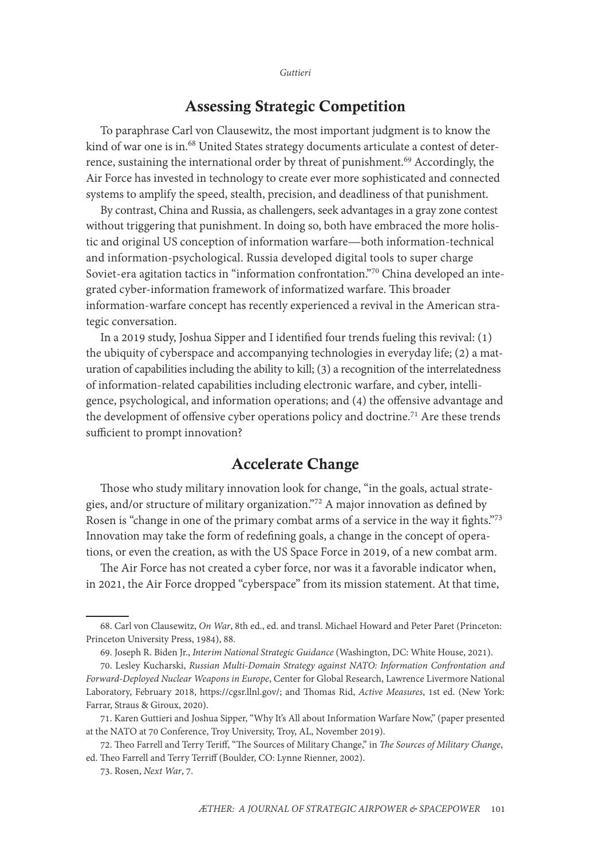# Assessing Strategic Competition

To paraphrase Carl von Clausewitz, the most important judgment is to know the kind of war one is in.<sup>68</sup> United States strategy documents articulate a contest of deterrence, sustaining the international order by threat of punishment.<sup>69</sup> Accordingly, the Air Force has invested in technology to create ever more sophisticated and connected systems to amplify the speed, stealth, precision, and deadliness of that punishment.

By contrast, China and Russia, as challengers, seek advantages in a gray zone contest without triggering that punishment. In doing so, both have embraced the more holistic and original US conception of information warfare—both information-technical and information-psychological. Russia developed digital tools to super charge Soviet-era agitation tactics in "information confrontation."70 China developed an integrated cyber-information framework of informatized warfare. This broader information-warfare concept has recently experienced a revival in the American strategic conversation.

In a 2019 study, Joshua Sipper and I identified four trends fueling this revival: (1) the ubiquity of cyberspace and accompanying technologies in everyday life; (2) a maturation of capabilities including the ability to kill; (3) a recognition of the interrelatedness of information-related capabilities including electronic warfare, and cyber, intelligence, psychological, and information operations; and (4) the offensive advantage and the development of offensive cyber operations policy and doctrine.<sup>71</sup> Are these trends sufficient to prompt innovation?

### Accelerate Change

Those who study military innovation look for change, "in the goals, actual strategies, and/or structure of military organization."72 A major innovation as defined by Rosen is "change in one of the primary combat arms of a service in the way it fights."73 Innovation may take the form of redefining goals, a change in the concept of operations, or even the creation, as with the US Space Force in 2019, of a new combat arm.

The Air Force has not created a cyber force, nor was it a favorable indicator when, in 2021, the Air Force dropped "cyberspace" from its mission statement. At that time,

<sup>68.</sup> Carl von Clausewitz, *On War*, 8th ed., ed. and transl. Michael Howard and Peter Paret (Princeton: Princeton University Press, 1984), 88.

<sup>69.</sup> Joseph R. Biden Jr., *Interim National Strategic Guidance* (Washington, DC: White House, 2021).

<sup>70.</sup> Lesley Kucharski, *Russian Multi-Domain Strategy against NATO: Information Confrontation and Forward-Deployed Nuclear Weapons in Europe*, Center for Global Research, Lawrence Livermore National Laboratory, February 2018, [https://cgsr.llnl.gov/](https://cgsr.llnl.gov/content/assets/docs/4Feb_IPb_against_NATO_nuclear_posture.pdf); and Thomas Rid, *Active Measures*, 1st ed. (New York: Farrar, Straus & Giroux, 2020).

<sup>71.</sup> Karen Guttieri and Joshua Sipper, "Why It's All about Information Warfare Now," (paper presented at the NATO at 70 Conference, Troy University, Troy, AL, November 2019).

<sup>72.</sup> Theo Farrell and Terry Teriff, "The Sources of Military Change," in *The Sources of Military Change*, ed. Theo Farrell and Terry Terriff (Boulder, CO: Lynne Rienner, 2002).

<sup>73.</sup> Rosen, *Next War*, 7.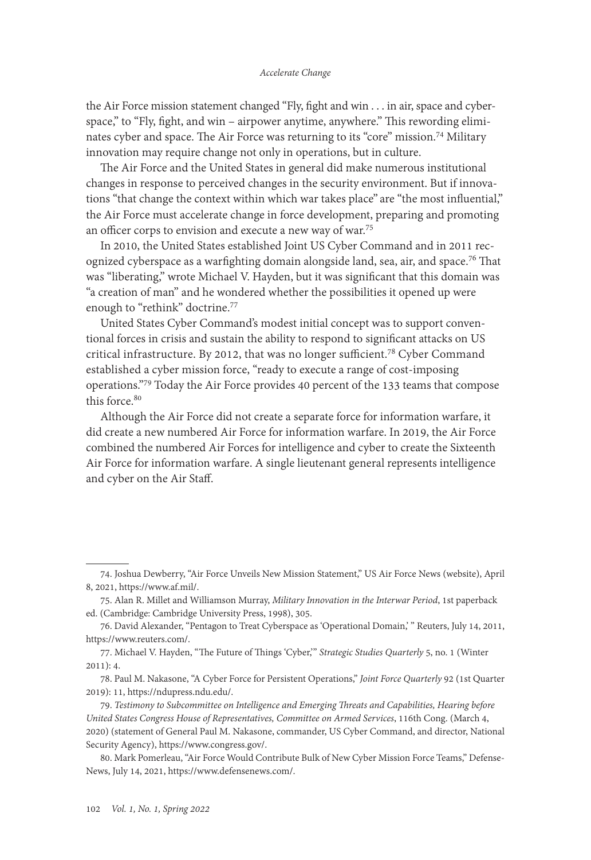the Air Force mission statement changed "Fly, fight and win . . . in air, space and cyberspace," to "Fly, fight, and win – airpower anytime, anywhere." This rewording eliminates cyber and space. The Air Force was returning to its "core" mission.74 Military innovation may require change not only in operations, but in culture.

The Air Force and the United States in general did make numerous institutional changes in response to perceived changes in the security environment. But if innovations "that change the context within which war takes place" are "the most influential," the Air Force must accelerate change in force development, preparing and promoting an officer corps to envision and execute a new way of war.75

In 2010, the United States established Joint US Cyber Command and in 2011 recognized cyberspace as a warfighting domain alongside land, sea, air, and space.<sup>76</sup> That was "liberating," wrote Michael V. Hayden, but it was significant that this domain was "a creation of man" and he wondered whether the possibilities it opened up were enough to "rethink" doctrine.77

United States Cyber Command's modest initial concept was to support conventional forces in crisis and sustain the ability to respond to significant attacks on US critical infrastructure. By 2012, that was no longer sufficient.<sup>78</sup> Cyber Command established a cyber mission force, "ready to execute a range of cost-imposing operations."79 Today the Air Force provides 40 percent of the 133 teams that compose this force.<sup>80</sup>

Although the Air Force did not create a separate force for information warfare, it did create a new numbered Air Force for information warfare. In 2019, the Air Force combined the numbered Air Forces for intelligence and cyber to create the Sixteenth Air Force for information warfare. A single lieutenant general represents intelligence and cyber on the Air Staff.

<sup>74.</sup> Joshua Dewberry, "Air Force Unveils New Mission Statement," US Air Force News (website), April 8, 2021, [https://www.af.mil/.](https://www.af.mil/News/Article-Display/Article/2565837/air-force-unveils-new-mission-statement/)

<sup>75.</sup> Alan R. Millet and Williamson Murray, *Military Innovation in the Interwar Period*, 1st paperback ed. (Cambridge: Cambridge University Press, 1998), 305.

<sup>76.</sup> David Alexander, "Pentagon to Treat Cyberspace as 'Operational Domain,' " Reuters, July 14, 2011, [https://www.reuters.com/.](https://www.reuters.com/article/us-usa-defense-cybersecurity/pentagon-to-treat-cyberspace-as-operational-domain-idUSTRE76D5FA20110714)

<sup>77.</sup> Michael V. Hayden, "The Future of Things 'Cyber,'" *Strategic Studies Quarterly* 5, no. 1 (Winter 2011): 4.

<sup>78.</sup> Paul M. Nakasone, "A Cyber Force for Persistent Operations," *Joint Force Quarterly* 92 (1st Quarter 2019): 11, [https://ndupress.ndu.edu/.](https://ndupress.ndu.edu/Media/News/News-Article-View/Article/1736950/a-cyber-force-for-persistent-operations/)

<sup>79.</sup> *Testimony to Subcommittee on Intelligence and Emerging Threats and Capabilities, Hearing before United States Congress House of Representatives, Committee on Armed Services*, 116th Cong. (March 4, 2020) (statement of General Paul M. Nakasone, commander, US Cyber Command, and director, National Security Agency), [https://www.congress.gov/.](https://www.congress.gov/event/116th-­­congress/house-­­event/LC65201/)

<sup>80.</sup> Mark Pomerleau, "Air Force Would Contribute Bulk of New Cyber Mission Force Teams," Defense-News, July 14, 2021, [https://www.defensenews.com/.](https://www.defensenews.com/cyber/2021/06/14/air-force-would-contribute-bulk-of-new-cyber-mission-force-teams/)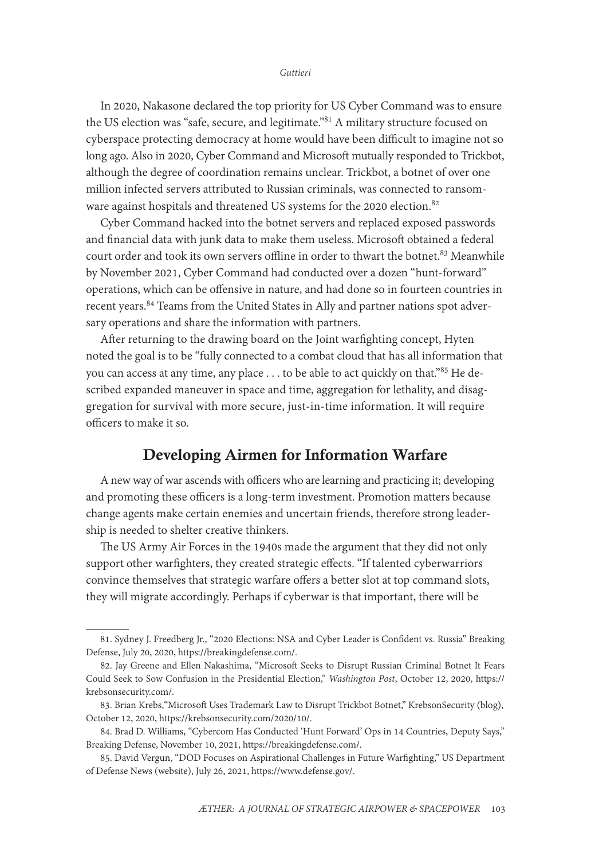In 2020, Nakasone declared the top priority for US Cyber Command was to ensure the US election was "safe, secure, and legitimate."<sup>81</sup> A military structure focused on cyberspace protecting democracy at home would have been difficult to imagine not so long ago. Also in 2020, Cyber Command and Microsoft mutually responded to Trickbot, although the degree of coordination remains unclear. Trickbot, a botnet of over one million infected servers attributed to Russian criminals, was connected to ransomware against hospitals and threatened US systems for the 2020 election.<sup>82</sup>

Cyber Command hacked into the botnet servers and replaced exposed passwords and financial data with junk data to make them useless. Microsoft obtained a federal court order and took its own servers offline in order to thwart the botnet.<sup>83</sup> Meanwhile by November 2021, Cyber Command had conducted over a dozen "hunt-forward" operations, which can be offensive in nature, and had done so in fourteen countries in recent years.<sup>84</sup> Teams from the United States in Ally and partner nations spot adversary operations and share the information with partners.

After returning to the drawing board on the Joint warfighting concept, Hyten noted the goal is to be "fully connected to a combat cloud that has all information that you can access at any time, any place . . . to be able to act quickly on that."85 He described expanded maneuver in space and time, aggregation for lethality, and disaggregation for survival with more secure, just-in-time information. It will require officers to make it so.

## Developing Airmen for Information Warfare

A new way of war ascends with officers who are learning and practicing it; developing and promoting these officers is a long-term investment. Promotion matters because change agents make certain enemies and uncertain friends, therefore strong leadership is needed to shelter creative thinkers.

The US Army Air Forces in the 1940s made the argument that they did not only support other warfighters, they created strategic effects. "If talented cyberwarriors convince themselves that strategic warfare offers a better slot at top command slots, they will migrate accordingly. Perhaps if cyberwar is that important, there will be

<sup>81.</sup> Sydney J. Freedberg Jr., "2020 Elections: NSA and Cyber Leader is Confident vs. Russia" Breaking Defense, July 20, 2020, [https://breakingdefense.com/](https://breakingdefense.com/2020/07/2020-elections-nsa-cyber-leader-is-confident-vs-russia/).

<sup>82.</sup> Jay Greene and Ellen Nakashima, "Microsoft Seeks to Disrupt Russian Criminal Botnet It Fears Could Seek to Sow Confusion in the Presidential Election," *Washington Post*, October 12, 2020, [https://](https://krebsonsecurity.com/2020/10/microsoft-uses-copyright-law-to-disrupt-trickbot-botnet/) [krebsonsecurity.com/](https://krebsonsecurity.com/2020/10/microsoft-uses-copyright-law-to-disrupt-trickbot-botnet/).

<sup>83.</sup> Brian Krebs,"Microsoft Uses Trademark Law to Disrupt Trickbot Botnet," KrebsonSecurity (blog), October 12, 2020, https://krebsonsecurity.com/2020/10/.

<sup>84.</sup> Brad D. Williams, "Cybercom Has Conducted 'Hunt Forward' Ops in 14 Countries, Deputy Says," Breaking Defense, November 10, 2021, [https://breakingdefense.com/](https://breakingdefense.com/2021/11/cybercoms-no-2-discusses-hunt-forward-space-cybersecurity-china/).

<sup>85.</sup> David Vergun, "DOD Focuses on Aspirational Challenges in Future Warfighting," US Department of Defense News (website), July 26, 2021, https://www.defense.gov/.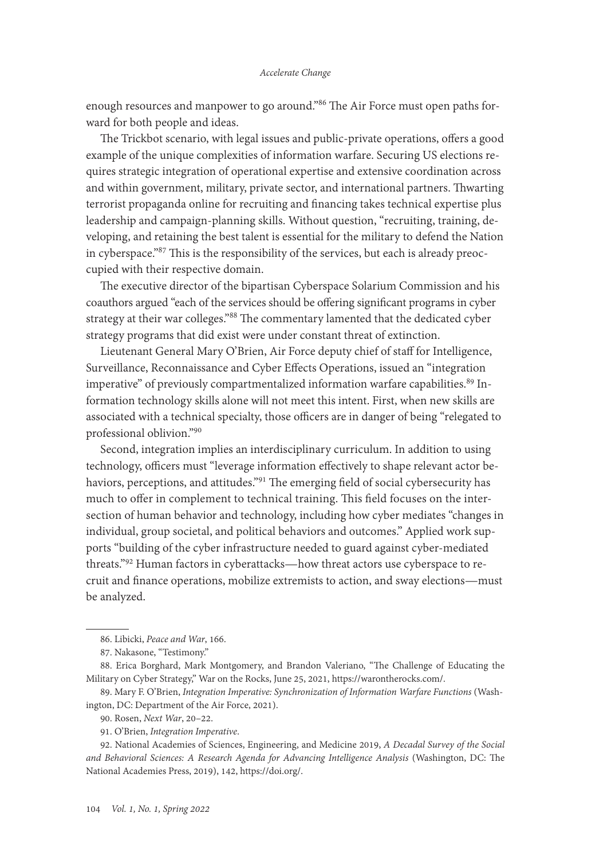enough resources and manpower to go around."<sup>86</sup> The Air Force must open paths forward for both people and ideas.

The Trickbot scenario, with legal issues and public-private operations, offers a good example of the unique complexities of information warfare. Securing US elections requires strategic integration of operational expertise and extensive coordination across and within government, military, private sector, and international partners. Thwarting terrorist propaganda online for recruiting and financing takes technical expertise plus leadership and campaign-planning skills. Without question, "recruiting, training, developing, and retaining the best talent is essential for the military to defend the Nation in cyberspace."87 This is the responsibility of the services, but each is already preoccupied with their respective domain.

The executive director of the bipartisan Cyberspace Solarium Commission and his coauthors argued "each of the services should be offering significant programs in cyber strategy at their war colleges."88 The commentary lamented that the dedicated cyber strategy programs that did exist were under constant threat of extinction.

Lieutenant General Mary O'Brien, Air Force deputy chief of staff for Intelligence, Surveillance, Reconnaissance and Cyber Effects Operations, issued an "integration imperative" of previously compartmentalized information warfare capabilities.<sup>89</sup> Information technology skills alone will not meet this intent. First, when new skills are associated with a technical specialty, those officers are in danger of being "relegated to professional oblivion."90

Second, integration implies an interdisciplinary curriculum. In addition to using technology, officers must "leverage information effectively to shape relevant actor behaviors, perceptions, and attitudes."91 The emerging field of social cybersecurity has much to offer in complement to technical training. This field focuses on the intersection of human behavior and technology, including how cyber mediates "changes in individual, group societal, and political behaviors and outcomes." Applied work supports "building of the cyber infrastructure needed to guard against cyber-mediated threats."92 Human factors in cyberattacks—how threat actors use cyberspace to recruit and finance operations, mobilize extremists to action, and sway elections—must be analyzed.

89. Mary F. O'Brien, *Integration Imperative: Synchronization of Information Warfare Functions* (Washington, DC: Department of the Air Force, 2021).

90. Rosen, *Next War*, 20–22.

91. O'Brien, *Integration Imperative*.

92. National Academies of Sciences, Engineering, and Medicine 2019, *A Decadal Survey of the Social and Behavioral Sciences: A Research Agenda for Advancing Intelligence Analysis* (Washington, DC: The National Academies Press, 2019), 142, [https://doi.org/](https://doi.org/10.17226/25335).

<sup>86.</sup> Libicki, *Peace and War*, 166.

<sup>87.</sup> Nakasone, "Testimony."

<sup>88.</sup> Erica Borghard, Mark Montgomery, and Brandon Valeriano, "The Challenge of Educating the Military on Cyber Strategy," War on the Rocks, June 25, 2021, [https://warontherocks.com/](https://warontherocks.com/2021/06/the-challenge-of-educating-the-military-on-cyber-strategy/).